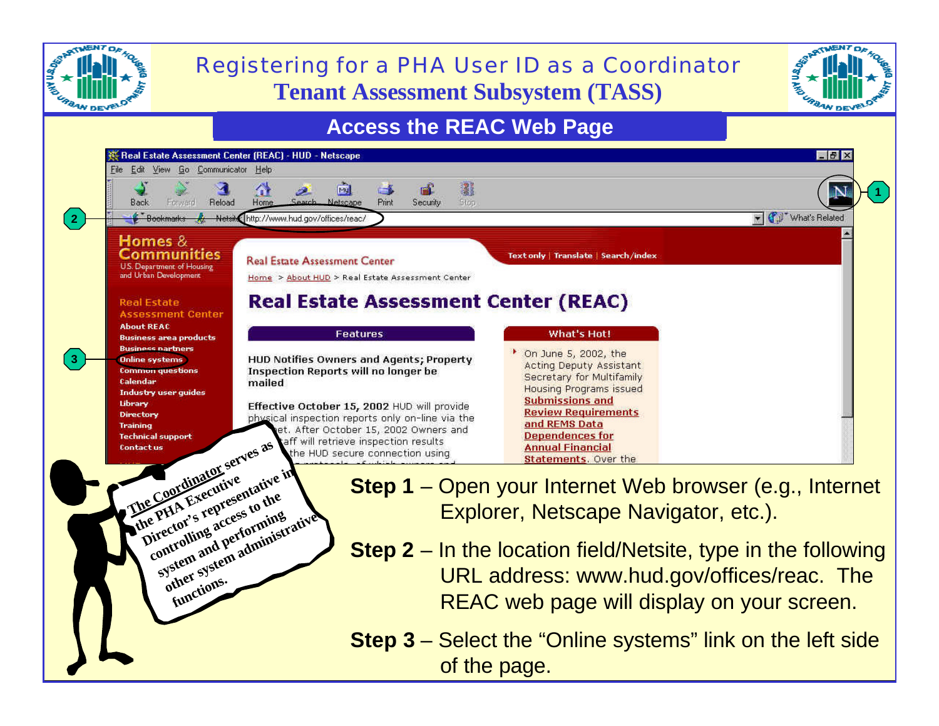

**Step 3** – Select the "Online systems" link on the left side of the page.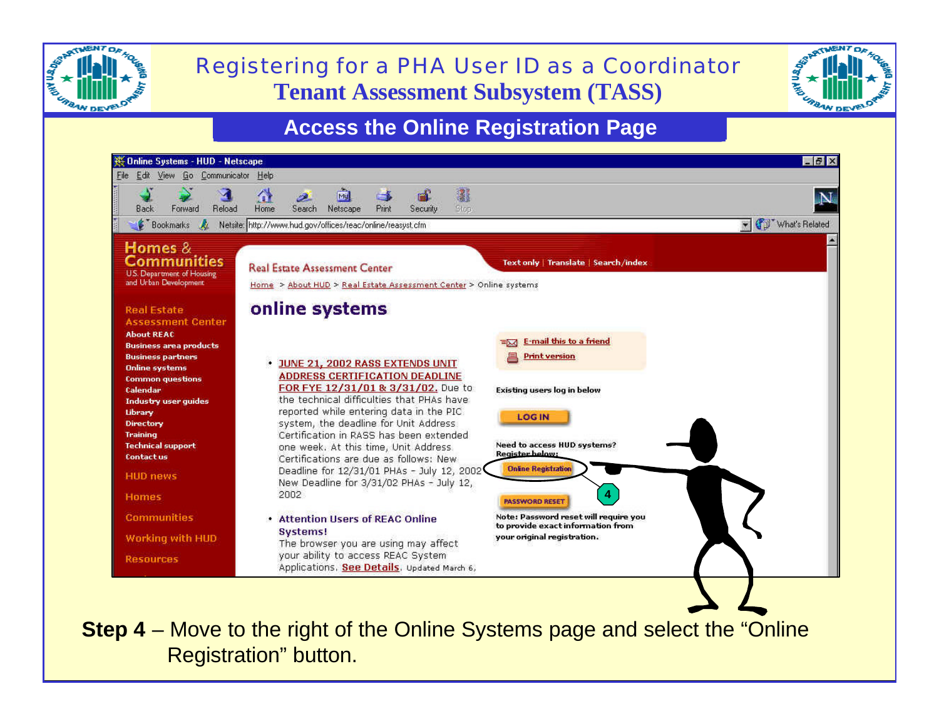

## **Tenant Assessment Subsystem (TASS)** Registering for a PHA User ID as a Coordinator



### **Access the Online Registration Page**



**Step 4** – Move to the right of the Online Systems page and select the "Online" Registration" button.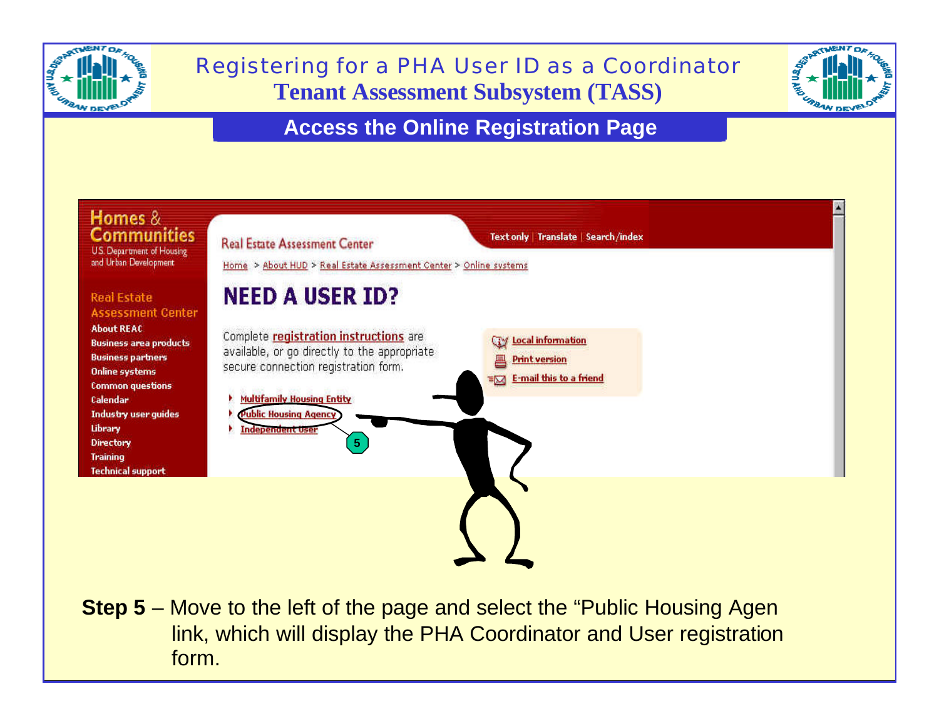

# **Tenant Assessment Subsystem (TASS)** Registering for a PHA User ID as a Coordinator



### **Access the Online Registration Page**



link, which will display the PHA Coordinator and User registration **Step 5** – Move to the left of the page and select the "Public Housing Agen form.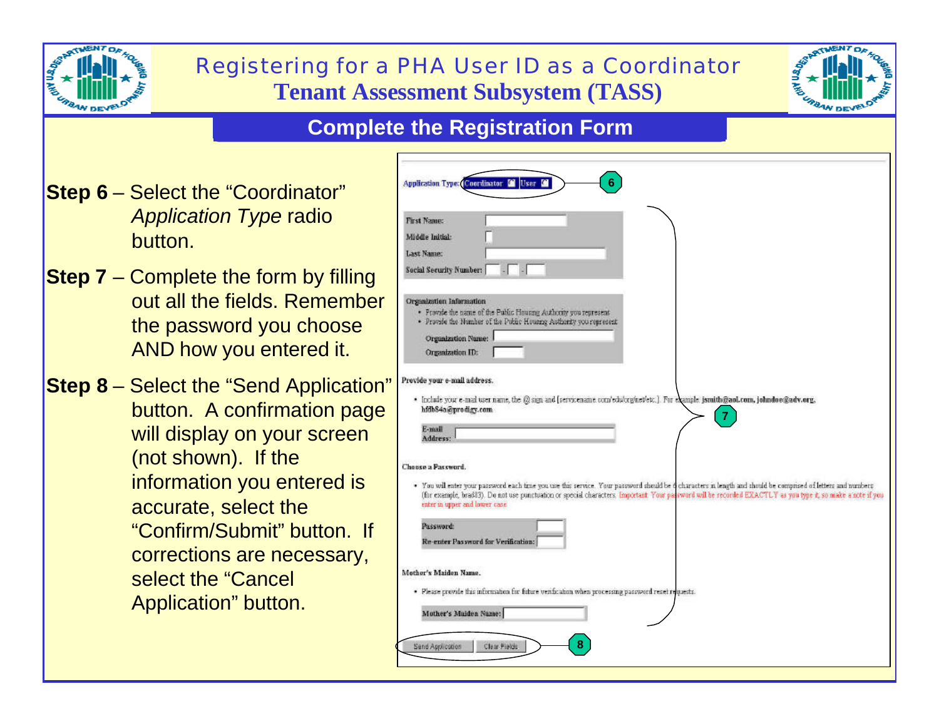